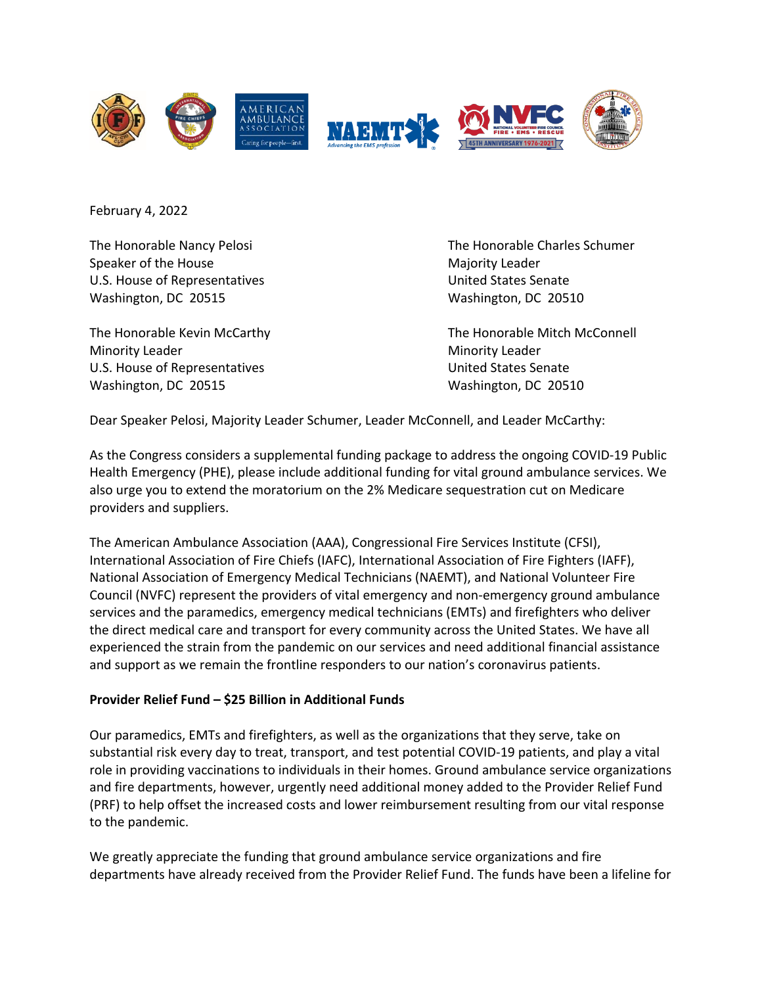

February 4, 2022

Speaker of the House Majority Leader Majority Leader U.S. House of Representatives and the United States Senate Washington, DC 20515 Washington, DC 20510

Minority Leader **Minority Leader** Minority Leader U.S. House of Representatives and the United States Senate Washington, DC 20515 Washington, DC 20510

The Honorable Nancy Pelosi The Honorable Charles Schumer

The Honorable Kevin McCarthy The Honorable Mitch McConnell

Dear Speaker Pelosi, Majority Leader Schumer, Leader McConnell, and Leader McCarthy:

As the Congress considers a supplemental funding package to address the ongoing COVID-19 Public Health Emergency (PHE), please include additional funding for vital ground ambulance services. We also urge you to extend the moratorium on the 2% Medicare sequestration cut on Medicare providers and suppliers.

The American Ambulance Association (AAA), Congressional Fire Services Institute (CFSI), International Association of Fire Chiefs (IAFC), International Association of Fire Fighters (IAFF), National Association of Emergency Medical Technicians (NAEMT), and National Volunteer Fire Council (NVFC) represent the providers of vital emergency and non-emergency ground ambulance services and the paramedics, emergency medical technicians (EMTs) and firefighters who deliver the direct medical care and transport for every community across the United States. We have all experienced the strain from the pandemic on our services and need additional financial assistance and support as we remain the frontline responders to our nation's coronavirus patients.

## **Provider Relief Fund – \$25 Billion in Additional Funds**

Our paramedics, EMTs and firefighters, as well as the organizations that they serve, take on substantial risk every day to treat, transport, and test potential COVID-19 patients, and play a vital role in providing vaccinations to individuals in their homes. Ground ambulance service organizations and fire departments, however, urgently need additional money added to the Provider Relief Fund (PRF) to help offset the increased costs and lower reimbursement resulting from our vital response to the pandemic.

We greatly appreciate the funding that ground ambulance service organizations and fire departments have already received from the Provider Relief Fund. The funds have been a lifeline for